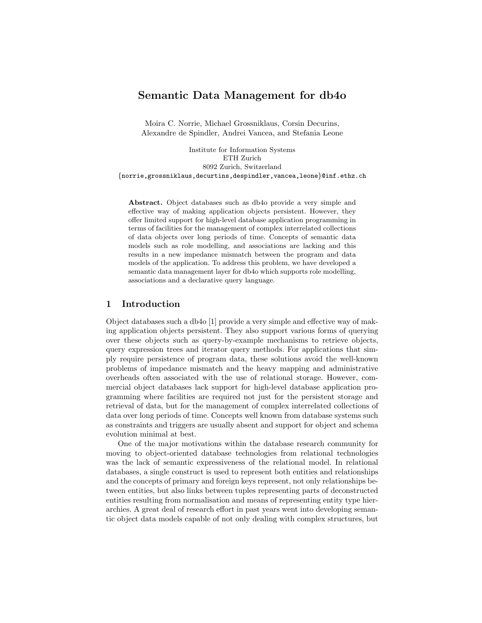# Semantic Data Management for db4o

Moira C. Norrie, Michael Grossniklaus, Corsin Decurins, Alexandre de Spindler, Andrei Vancea, and Stefania Leone

Institute for Information Systems ETH Zurich 8092 Zurich, Switzerland {norrie,grossniklaus,decurtins,despindler,vancea,leone}@inf.ethz.ch

Abstract. Object databases such as db4o provide a very simple and effective way of making application objects persistent. However, they offer limited support for high-level database application programming in terms of facilities for the management of complex interrelated collections of data objects over long periods of time. Concepts of semantic data models such as role modelling, and associations are lacking and this results in a new impedance mismatch between the program and data models of the application. To address this problem, we have developed a semantic data management layer for db4o which supports role modelling, associations and a declarative query language.

#### 1 Introduction

Object databases such a db4o [1] provide a very simple and effective way of making application objects persistent. They also support various forms of querying over these objects such as query-by-example mechanisms to retrieve objects, query expression trees and iterator query methods. For applications that simply require persistence of program data, these solutions avoid the well-known problems of impedance mismatch and the heavy mapping and administrative overheads often associated with the use of relational storage. However, commercial object databases lack support for high-level database application programming where facilities are required not just for the persistent storage and retrieval of data, but for the management of complex interrelated collections of data over long periods of time. Concepts well known from database systems such as constraints and triggers are usually absent and support for object and schema evolution minimal at best.

One of the major motivations within the database research community for moving to object-oriented database technologies from relational technologies was the lack of semantic expressiveness of the relational model. In relational databases, a single construct is used to represent both entities and relationships and the concepts of primary and foreign keys represent, not only relationships between entities, but also links between tuples representing parts of deconstructed entities resulting from normalisation and means of representing entity type hierarchies. A great deal of research effort in past years went into developing semantic object data models capable of not only dealing with complex structures, but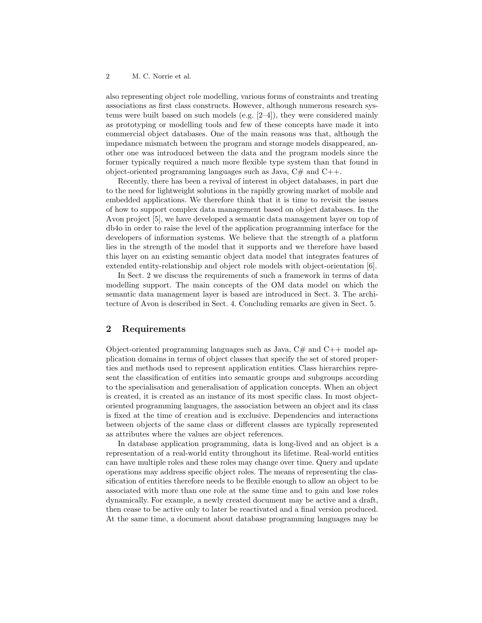also representing object role modelling, various forms of constraints and treating associations as first class constructs. However, although numerous research systems were built based on such models (e.g. [2–4]), they were considered mainly as prototyping or modelling tools and few of these concepts have made it into commercial object databases. One of the main reasons was that, although the impedance mismatch between the program and storage models disappeared, another one was introduced between the data and the program models since the former typically required a much more flexible type system than that found in object-oriented programming languages such as Java,  $C\#$  and  $C++$ .

Recently, there has been a revival of interest in object databases, in part due to the need for lightweight solutions in the rapidly growing market of mobile and embedded applications. We therefore think that it is time to revisit the issues of how to support complex data management based on object databases. In the Avon project [5], we have developed a semantic data management layer on top of db4o in order to raise the level of the application programming interface for the developers of information systems. We believe that the strength of a platform lies in the strength of the model that it supports and we therefore have based this layer on an existing semantic object data model that integrates features of extended entity-relationship and object role models with object-orientation [6].

In Sect. 2 we discuss the requirements of such a framework in terms of data modelling support. The main concepts of the OM data model on which the semantic data management layer is based are introduced in Sect. 3. The architecture of Avon is described in Sect. 4. Concluding remarks are given in Sect. 5.

# 2 Requirements

Object-oriented programming languages such as Java,  $C#$  and  $C++$  model application domains in terms of object classes that specify the set of stored properties and methods used to represent application entities. Class hierarchies represent the classification of entities into semantic groups and subgroups according to the specialisation and generalisation of application concepts. When an object is created, it is created as an instance of its most specific class. In most objectoriented programming languages, the association between an object and its class is fixed at the time of creation and is exclusive. Dependencies and interactions between objects of the same class or different classes are typically represented as attributes where the values are object references.

In database application programming, data is long-lived and an object is a representation of a real-world entity throughout its lifetime. Real-world entities can have multiple roles and these roles may change over time. Query and update operations may address specific object roles. The means of representing the classification of entities therefore needs to be flexible enough to allow an object to be associated with more than one role at the same time and to gain and lose roles dynamically. For example, a newly created document may be active and a draft, then cease to be active only to later be reactivated and a final version produced. At the same time, a document about database programming languages may be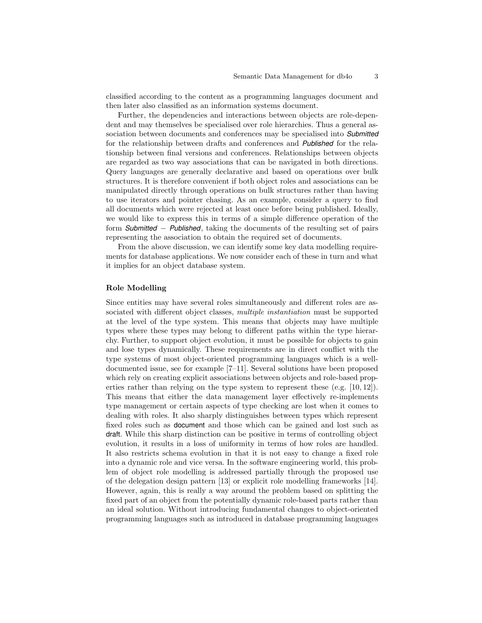classified according to the content as a programming languages document and then later also classified as an information systems document.

Further, the dependencies and interactions between objects are role-dependent and may themselves be specialised over role hierarchies. Thus a general association between documents and conferences may be specialised into *Submitted* for the relationship between drafts and conferences and *Published* for the relationship between final versions and conferences. Relationships between objects are regarded as two way associations that can be navigated in both directions. Query languages are generally declarative and based on operations over bulk structures. It is therefore convenient if both object roles and associations can be manipulated directly through operations on bulk structures rather than having to use iterators and pointer chasing. As an example, consider a query to find all documents which were rejected at least once before being published. Ideally, we would like to express this in terms of a simple difference operation of the form *Submitted* − *Published*, taking the documents of the resulting set of pairs representing the association to obtain the required set of documents.

From the above discussion, we can identify some key data modelling requirements for database applications. We now consider each of these in turn and what it implies for an object database system.

#### Role Modelling

Since entities may have several roles simultaneously and different roles are associated with different object classes, *multiple instantiation* must be supported at the level of the type system. This means that objects may have multiple types where these types may belong to different paths within the type hierarchy. Further, to support object evolution, it must be possible for objects to gain and lose types dynamically. These requirements are in direct conflict with the type systems of most object-oriented programming languages which is a welldocumented issue, see for example [7–11]. Several solutions have been proposed which rely on creating explicit associations between objects and role-based properties rather than relying on the type system to represent these (e.g. [10, 12]). This means that either the data management layer effectively re-implements type management or certain aspects of type checking are lost when it comes to dealing with roles. It also sharply distinguishes between types which represent fixed roles such as document and those which can be gained and lost such as draft. While this sharp distinction can be positive in terms of controlling object evolution, it results in a loss of uniformity in terms of how roles are handled. It also restricts schema evolution in that it is not easy to change a fixed role into a dynamic role and vice versa. In the software engineering world, this problem of object role modelling is addressed partially through the proposed use of the delegation design pattern [13] or explicit role modelling frameworks [14]. However, again, this is really a way around the problem based on splitting the fixed part of an object from the potentially dynamic role-based parts rather than an ideal solution. Without introducing fundamental changes to object-oriented programming languages such as introduced in database programming languages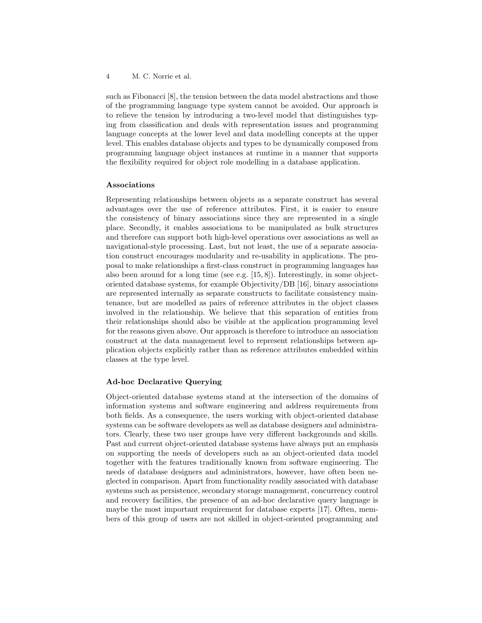such as Fibonacci [8], the tension between the data model abstractions and those of the programming language type system cannot be avoided. Our approach is to relieve the tension by introducing a two-level model that distinguishes typing from classification and deals with representation issues and programming language concepts at the lower level and data modelling concepts at the upper level. This enables database objects and types to be dynamically composed from programming language object instances at runtime in a manner that supports the flexibility required for object role modelling in a database application.

#### Associations

Representing relationships between objects as a separate construct has several advantages over the use of reference attributes. First, it is easier to ensure the consistency of binary associations since they are represented in a single place. Secondly, it enables associations to be manipulated as bulk structures and therefore can support both high-level operations over associations as well as navigational-style processing. Last, but not least, the use of a separate association construct encourages modularity and re-usability in applications. The proposal to make relationships a first-class construct in programming languages has also been around for a long time (see e.g. [15, 8]). Interestingly, in some objectoriented database systems, for example Objectivity/DB [16], binary associations are represented internally as separate constructs to facilitate consistency maintenance, but are modelled as pairs of reference attributes in the object classes involved in the relationship. We believe that this separation of entities from their relationships should also be visible at the application programming level for the reasons given above. Our approach is therefore to introduce an association construct at the data management level to represent relationships between application objects explicitly rather than as reference attributes embedded within classes at the type level.

#### Ad-hoc Declarative Querying

Object-oriented database systems stand at the intersection of the domains of information systems and software engineering and address requirements from both fields. As a consequence, the users working with object-oriented database systems can be software developers as well as database designers and administrators. Clearly, these two user groups have very different backgrounds and skills. Past and current object-oriented database systems have always put an emphasis on supporting the needs of developers such as an object-oriented data model together with the features traditionally known from software engineering. The needs of database designers and administrators, however, have often been neglected in comparison. Apart from functionality readily associated with database systems such as persistence, secondary storage management, concurrency control and recovery facilities, the presence of an ad-hoc declarative query language is maybe the most important requirement for database experts [17]. Often, members of this group of users are not skilled in object-oriented programming and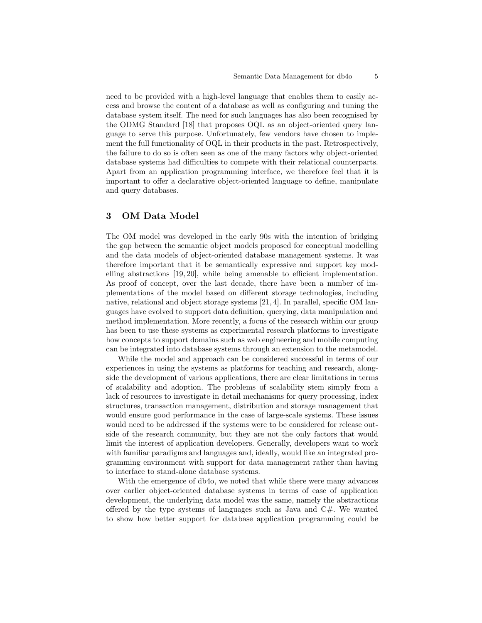need to be provided with a high-level language that enables them to easily access and browse the content of a database as well as configuring and tuning the database system itself. The need for such languages has also been recognised by the ODMG Standard [18] that proposes OQL as an object-oriented query language to serve this purpose. Unfortunately, few vendors have chosen to implement the full functionality of OQL in their products in the past. Retrospectively, the failure to do so is often seen as one of the many factors why object-oriented database systems had difficulties to compete with their relational counterparts. Apart from an application programming interface, we therefore feel that it is important to offer a declarative object-oriented language to define, manipulate and query databases.

### 3 OM Data Model

The OM model was developed in the early 90s with the intention of bridging the gap between the semantic object models proposed for conceptual modelling and the data models of object-oriented database management systems. It was therefore important that it be semantically expressive and support key modelling abstractions [19, 20], while being amenable to efficient implementation. As proof of concept, over the last decade, there have been a number of implementations of the model based on different storage technologies, including native, relational and object storage systems [21, 4]. In parallel, specific OM languages have evolved to support data definition, querying, data manipulation and method implementation. More recently, a focus of the research within our group has been to use these systems as experimental research platforms to investigate how concepts to support domains such as web engineering and mobile computing can be integrated into database systems through an extension to the metamodel.

While the model and approach can be considered successful in terms of our experiences in using the systems as platforms for teaching and research, alongside the development of various applications, there are clear limitations in terms of scalability and adoption. The problems of scalability stem simply from a lack of resources to investigate in detail mechanisms for query processing, index structures, transaction management, distribution and storage management that would ensure good performance in the case of large-scale systems. These issues would need to be addressed if the systems were to be considered for release outside of the research community, but they are not the only factors that would limit the interest of application developers. Generally, developers want to work with familiar paradigms and languages and, ideally, would like an integrated programming environment with support for data management rather than having to interface to stand-alone database systems.

With the emergence of db4o, we noted that while there were many advances over earlier object-oriented database systems in terms of ease of application development, the underlying data model was the same, namely the abstractions offered by the type systems of languages such as Java and C#. We wanted to show how better support for database application programming could be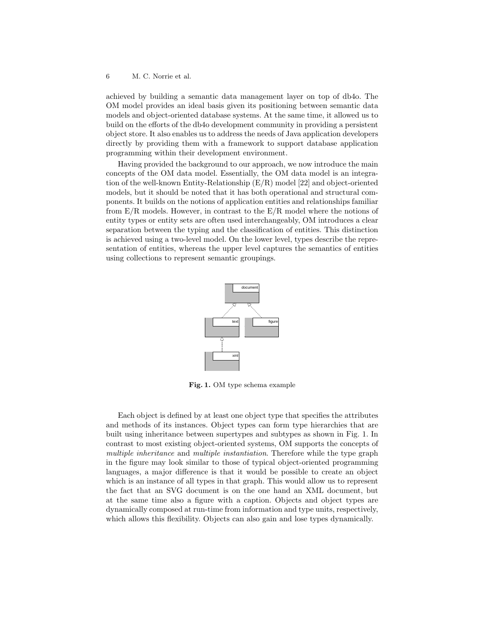#### 6 M. C. Norrie et al.

achieved by building a semantic data management layer on top of db4o. The OM model provides an ideal basis given its positioning between semantic data models and object-oriented database systems. At the same time, it allowed us to build on the efforts of the db4o development community in providing a persistent object store. It also enables us to address the needs of Java application developers directly by providing them with a framework to support database application programming within their development environment.

Having provided the background to our approach, we now introduce the main concepts of the OM data model. Essentially, the OM data model is an integration of the well-known Entity-Relationship (E/R) model [22] and object-oriented models, but it should be noted that it has both operational and structural components. It builds on the notions of application entities and relationships familiar from  $E/R$  models. However, in contrast to the  $E/R$  model where the notions of entity types or entity sets are often used interchangeably, OM introduces a clear separation between the typing and the classification of entities. This distinction is achieved using a two-level model. On the lower level, types describe the representation of entities, whereas the upper level captures the semantics of entities using collections to represent semantic groupings.



Fig. 1. OM type schema example

Each object is defined by at least one object type that specifies the attributes and methods of its instances. Object types can form type hierarchies that are built using inheritance between supertypes and subtypes as shown in Fig. 1. In contrast to most existing object-oriented systems, OM supports the concepts of multiple inheritance and multiple instantiation. Therefore while the type graph in the figure may look similar to those of typical object-oriented programming languages, a major difference is that it would be possible to create an object which is an instance of all types in that graph. This would allow us to represent the fact that an SVG document is on the one hand an XML document, but at the same time also a figure with a caption. Objects and object types are dynamically composed at run-time from information and type units, respectively, which allows this flexibility. Objects can also gain and lose types dynamically.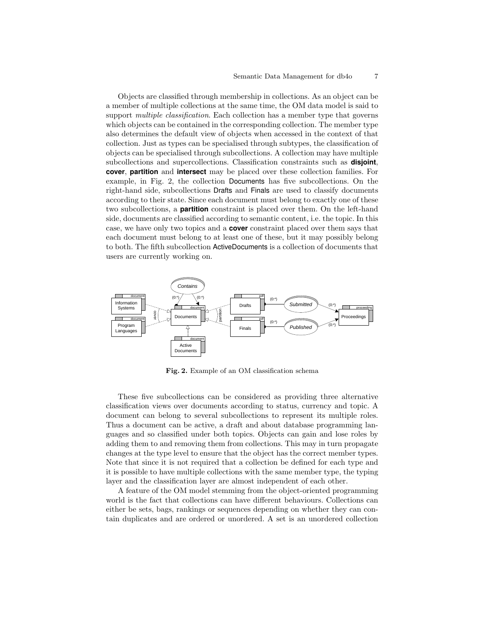Objects are classified through membership in collections. As an object can be a member of multiple collections at the same time, the OM data model is said to support *multiple classification*. Each collection has a member type that governs which objects can be contained in the corresponding collection. The member type also determines the default view of objects when accessed in the context of that collection. Just as types can be specialised through subtypes, the classification of objects can be specialised through subcollections. A collection may have multiple subcollections and supercollections. Classification constraints such as **disjoint**, **cover**, **partition** and **intersect** may be placed over these collection families. For example, in Fig. 2, the collection Documents has five subcollections. On the right-hand side, subcollections Drafts and Finals are used to classify documents according to their state. Since each document must belong to exactly one of these two subcollections, a **partition** constraint is placed over them. On the left-hand side, documents are classified according to semantic content, i.e. the topic. In this case, we have only two topics and a **cover** constraint placed over them says that each document must belong to at least one of these, but it may possibly belong to both. The fifth subcollection ActiveDocuments is a collection of documents that users are currently working on.



Fig. 2. Example of an OM classification schema

These five subcollections can be considered as providing three alternative classification views over documents according to status, currency and topic. A document can belong to several subcollections to represent its multiple roles. Thus a document can be active, a draft and about database programming languages and so classified under both topics. Objects can gain and lose roles by adding them to and removing them from collections. This may in turn propagate changes at the type level to ensure that the object has the correct member types. Note that since it is not required that a collection be defined for each type and it is possible to have multiple collections with the same member type, the typing layer and the classification layer are almost independent of each other.

A feature of the OM model stemming from the object-oriented programming world is the fact that collections can have different behaviours. Collections can either be sets, bags, rankings or sequences depending on whether they can contain duplicates and are ordered or unordered. A set is an unordered collection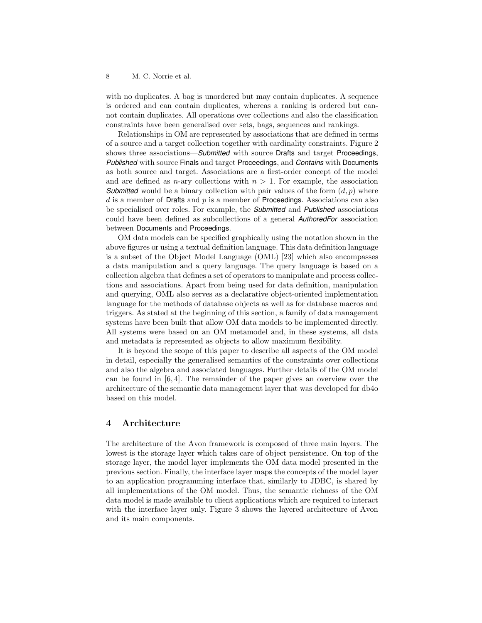with no duplicates. A bag is unordered but may contain duplicates. A sequence is ordered and can contain duplicates, whereas a ranking is ordered but cannot contain duplicates. All operations over collections and also the classification constraints have been generalised over sets, bags, sequences and rankings.

Relationships in OM are represented by associations that are defined in terms of a source and a target collection together with cardinality constraints. Figure 2 shows three associations—*Submitted* with source Drafts and target Proceedings, *Published* with source Finals and target Proceedings, and *Contains* with Documents as both source and target. Associations are a first-order concept of the model and are defined as *n*-ary collections with  $n > 1$ . For example, the association *Submitted* would be a binary collection with pair values of the form  $(d, p)$  where  $d$  is a member of Drafts and  $p$  is a member of Proceedings. Associations can also be specialised over roles. For example, the *Submitted* and *Published* associations could have been defined as subcollections of a general *AuthoredFor* association between Documents and Proceedings.

OM data models can be specified graphically using the notation shown in the above figures or using a textual definition language. This data definition language is a subset of the Object Model Language (OML) [23] which also encompasses a data manipulation and a query language. The query language is based on a collection algebra that defines a set of operators to manipulate and process collections and associations. Apart from being used for data definition, manipulation and querying, OML also serves as a declarative object-oriented implementation language for the methods of database objects as well as for database macros and triggers. As stated at the beginning of this section, a family of data management systems have been built that allow OM data models to be implemented directly. All systems were based on an OM metamodel and, in these systems, all data and metadata is represented as objects to allow maximum flexibility.

It is beyond the scope of this paper to describe all aspects of the OM model in detail, especially the generalised semantics of the constraints over collections and also the algebra and associated languages. Further details of the OM model can be found in [6, 4]. The remainder of the paper gives an overview over the architecture of the semantic data management layer that was developed for db4o based on this model.

# 4 Architecture

The architecture of the Avon framework is composed of three main layers. The lowest is the storage layer which takes care of object persistence. On top of the storage layer, the model layer implements the OM data model presented in the previous section. Finally, the interface layer maps the concepts of the model layer to an application programming interface that, similarly to JDBC, is shared by all implementations of the OM model. Thus, the semantic richness of the OM data model is made available to client applications which are required to interact with the interface layer only. Figure 3 shows the layered architecture of Avon and its main components.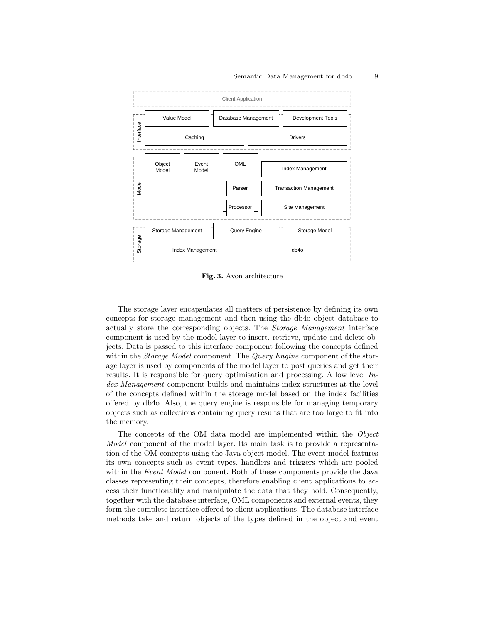

Fig. 3. Avon architecture

The storage layer encapsulates all matters of persistence by defining its own concepts for storage management and then using the db4o object database to actually store the corresponding objects. The Storage Management interface component is used by the model layer to insert, retrieve, update and delete objects. Data is passed to this interface component following the concepts defined within the *Storage Model* component. The *Query Engine* component of the storage layer is used by components of the model layer to post queries and get their results. It is responsible for query optimisation and processing. A low level Index Management component builds and maintains index structures at the level of the concepts defined within the storage model based on the index facilities offered by db4o. Also, the query engine is responsible for managing temporary objects such as collections containing query results that are too large to fit into the memory.

The concepts of the OM data model are implemented within the Object Model component of the model layer. Its main task is to provide a representation of the OM concepts using the Java object model. The event model features its own concepts such as event types, handlers and triggers which are pooled within the *Event Model* component. Both of these components provide the Java classes representing their concepts, therefore enabling client applications to access their functionality and manipulate the data that they hold. Consequently, together with the database interface, OML components and external events, they form the complete interface offered to client applications. The database interface methods take and return objects of the types defined in the object and event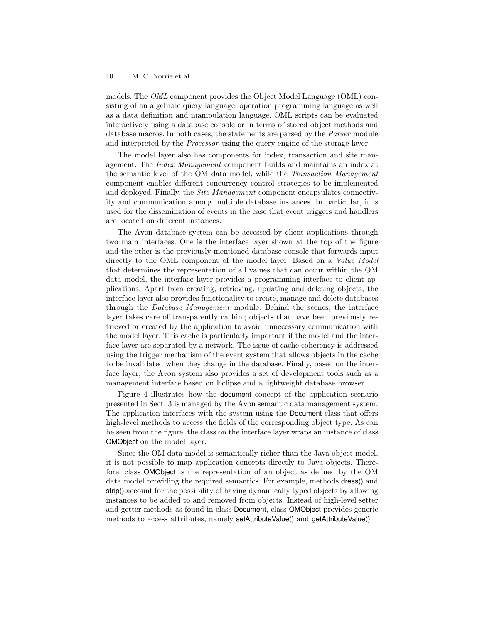#### 10 M. C. Norrie et al.

models. The OML component provides the Object Model Language (OML) consisting of an algebraic query language, operation programming language as well as a data definition and manipulation language. OML scripts can be evaluated interactively using a database console or in terms of stored object methods and database macros. In both cases, the statements are parsed by the Parser module and interpreted by the Processor using the query engine of the storage layer.

The model layer also has components for index, transaction and site management. The Index Management component builds and maintains an index at the semantic level of the OM data model, while the Transaction Management component enables different concurrency control strategies to be implemented and deployed. Finally, the Site Management component encapsulates connectivity and communication among multiple database instances. In particular, it is used for the dissemination of events in the case that event triggers and handlers are located on different instances.

The Avon database system can be accessed by client applications through two main interfaces. One is the interface layer shown at the top of the figure and the other is the previously mentioned database console that forwards input directly to the OML component of the model layer. Based on a Value Model that determines the representation of all values that can occur within the OM data model, the interface layer provides a programming interface to client applications. Apart from creating, retrieving, updating and deleting objects, the interface layer also provides functionality to create, manage and delete databases through the Database Management module. Behind the scenes, the interface layer takes care of transparently caching objects that have been previously retrieved or created by the application to avoid unnecessary communication with the model layer. This cache is particularly important if the model and the interface layer are separated by a network. The issue of cache coherency is addressed using the trigger mechanism of the event system that allows objects in the cache to be invalidated when they change in the database. Finally, based on the interface layer, the Avon system also provides a set of development tools such as a management interface based on Eclipse and a lightweight database browser.

Figure 4 illustrates how the document concept of the application scenario presented in Sect. 3 is managed by the Avon semantic data management system. The application interfaces with the system using the Document class that offers high-level methods to access the fields of the corresponding object type. As can be seen from the figure, the class on the interface layer wraps an instance of class OMObject on the model layer.

Since the OM data model is semantically richer than the Java object model, it is not possible to map application concepts directly to Java objects. Therefore, class OMObject is the representation of an object as defined by the OM data model providing the required semantics. For example, methods dress() and strip() account for the possibility of having dynamically typed objects by allowing instances to be added to and removed from objects. Instead of high-level setter and getter methods as found in class Document, class OMObject provides generic methods to access attributes, namely setAttributeValue() and getAttributeValue().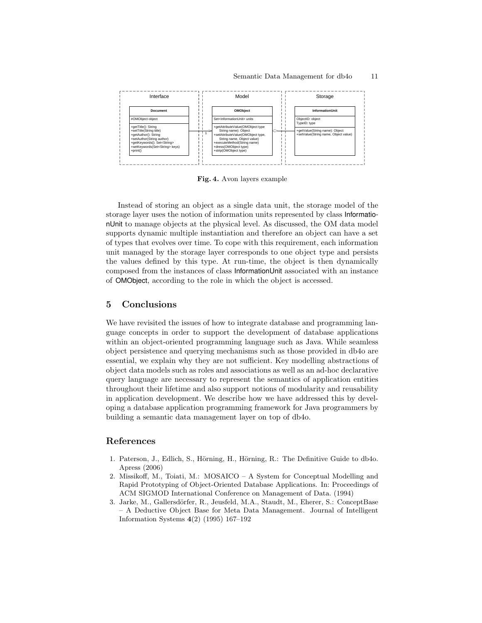

Fig. 4. Avon layers example

Instead of storing an object as a single data unit, the storage model of the storage layer uses the notion of information units represented by class InformationUnit to manage objects at the physical level. As discussed, the OM data model supports dynamic multiple instantiation and therefore an object can have a set of types that evolves over time. To cope with this requirement, each information unit managed by the storage layer corresponds to one object type and persists the values defined by this type. At run-time, the object is then dynamically composed from the instances of class InformationUnit associated with an instance of OMObject, according to the role in which the object is accessed.

# 5 Conclusions

We have revisited the issues of how to integrate database and programming language concepts in order to support the development of database applications within an object-oriented programming language such as Java. While seamless object persistence and querying mechanisms such as those provided in db4o are essential, we explain why they are not sufficient. Key modelling abstractions of object data models such as roles and associations as well as an ad-hoc declarative query language are necessary to represent the semantics of application entities throughout their lifetime and also support notions of modularity and reusability in application development. We describe how we have addressed this by developing a database application programming framework for Java programmers by building a semantic data management layer on top of db4o.

## References

- 1. Paterson, J., Edlich, S., Hörning, H., Hörning, R.: The Definitive Guide to db4o. Apress (2006)
- 2. Missikoff, M., Toiati, M.: MOSAICO A System for Conceptual Modelling and Rapid Prototyping of Object-Oriented Database Applications. In: Proceedings of ACM SIGMOD International Conference on Management of Data. (1994)
- 3. Jarke, M., Gallersd¨orfer, R., Jeusfeld, M.A., Staudt, M., Eherer, S.: ConceptBase – A Deductive Object Base for Meta Data Management. Journal of Intelligent Information Systems 4(2) (1995) 167–192